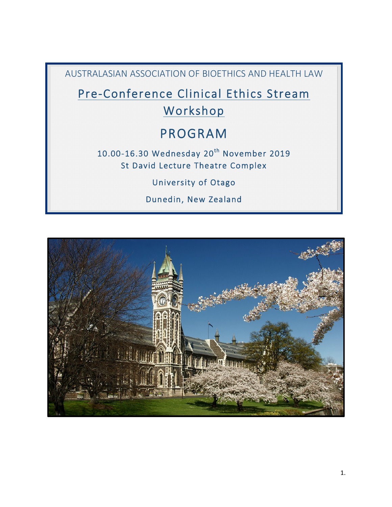AUSTRALASIAN ASSOCIATION OF BIOETHICS AND HEALTH LAW

Pre-Conference Clinical Ethics Stream Workshop

# PROGRAM

10.00-16.30 Wednesday 20<sup>th</sup> November 2019 St David Lecture Theatre Complex

University of Otago

Dunedin, New Zealand

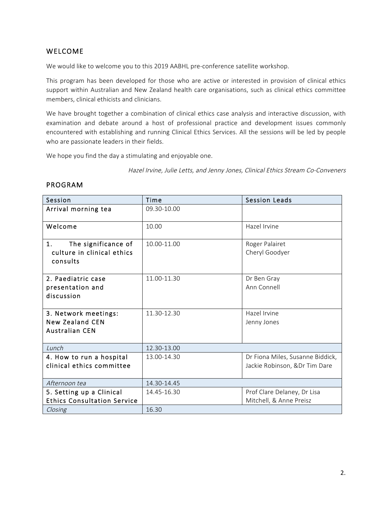# WELCOME

We would like to welcome you to this 2019 AABHL pre-conference satellite workshop.

This program has been developed for those who are active or interested in provision of clinical ethics support within Australian and New Zealand health care organisations, such as clinical ethics committee members, clinical ethicists and clinicians.

We have brought together a combination of clinical ethics case analysis and interactive discussion, with examination and debate around a host of professional practice and development issues commonly encountered with establishing and running Clinical Ethics Services. All the sessions will be led by people who are passionate leaders in their fields.

We hope you find the day a stimulating and enjoyable one.

Hazel Irvine, Julie Letts, and Jenny Jones, Clinical Ethics Stream Co-Conveners

| Session                                                                 | Time        | <b>Session Leads</b>                                              |
|-------------------------------------------------------------------------|-------------|-------------------------------------------------------------------|
| Arrival morning tea                                                     | 09.30-10.00 |                                                                   |
| Welcome                                                                 | 10.00       | Hazel Irvine                                                      |
| 1.<br>The significance of<br>culture in clinical ethics<br>consults     | 10.00-11.00 | Roger Palairet<br>Cheryl Goodyer                                  |
| 2. Paediatric case<br>presentation and<br>discussion                    | 11.00-11.30 | Dr Ben Gray<br>Ann Connell                                        |
| 3. Network meetings:<br><b>New Zealand CEN</b><br><b>Australian CEN</b> | 11.30-12.30 | Hazel Irvine<br>Jenny Jones                                       |
| $l$ <i>unch</i>                                                         | 12.30-13.00 |                                                                   |
| 4. How to run a hospital<br>clinical ethics committee                   | 13.00-14.30 | Dr Fiona Miles, Susanne Biddick,<br>Jackie Robinson, &Dr Tim Dare |
| Afternoon tea                                                           | 14.30-14.45 |                                                                   |
| 5. Setting up a Clinical<br><b>Ethics Consultation Service</b>          | 14.45-16.30 | Prof Clare Delaney, Dr Lisa<br>Mitchell, & Anne Preisz            |
| Closing                                                                 | 16.30       |                                                                   |

#### PROGRAM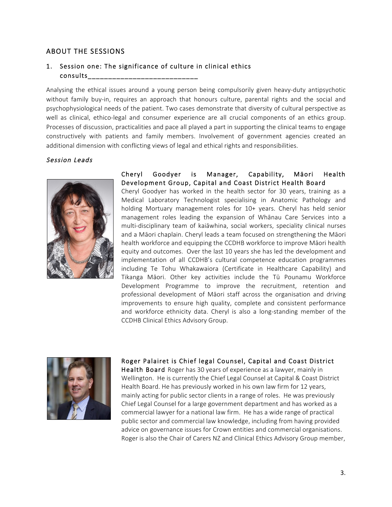# ABOUT THE SESSIONS

# 1. Session one: The significance of culture in clinical ethics consults\_\_\_\_\_\_\_\_\_\_\_\_\_\_\_\_\_\_\_\_\_\_\_\_\_\_\_

Analysing the ethical issues around a young person being compulsorily given heavy-duty antipsychotic without family buy-in, requires an approach that honours culture, parental rights and the social and psychophysiological needs of the patient. Two cases demonstrate that diversity of cultural perspective as well as clinical, ethico-legal and consumer experience are all crucial components of an ethics group. Processes of discussion, practicalities and pace all played a part in supporting the clinical teams to engage constructively with patients and family members. Involvement of government agencies created an additional dimension with conflicting views of legal and ethical rights and responsibilities.

#### Session Leads



#### Cheryl Goodyer is Manager, Capability, Māori Health Development Group, Capital and Coast District Health Board

Cheryl Goodyer has worked in the health sector for 30 years, training as a Medical Laboratory Technologist specialising in Anatomic Pathology and holding Mortuary management roles for 10+ years. Cheryl has held senior management roles leading the expansion of Whānau Care Services into a multi-disciplinary team of kaiāwhina, social workers, speciality clinical nurses and a Māori chaplain. Cheryl leads a team focused on strengthening the Māori health workforce and equipping the CCDHB workforce to improve Māori health equity and outcomes. Over the last 10 years she has led the development and implementation of all CCDHB's cultural competence education programmes including Te Tohu Whakawaiora (Certificate in Healthcare Capability) and Tikanga Māori. Other key activities include the Tū Pounamu Workforce Development Programme to improve the recruitment, retention and professional development of Māori staff across the organisation and driving improvements to ensure high quality, complete and consistent performance and workforce ethnicity data. Cheryl is also a long-standing member of the CCDHB Clinical Ethics Advisory Group.



#### Roger Palairet is Chief legal Counsel, Capital and Coast District

Health Board Roger has 30 years of experience as a lawyer, mainly in Wellington. He is currently the Chief Legal Counsel at Capital & Coast District Health Board. He has previously worked in his own law firm for 12 years, mainly acting for public sector clients in a range of roles. He was previously Chief Legal Counsel for a large government department and has worked as a commercial lawyer for a national law firm. He has a wide range of practical public sector and commercial law knowledge, including from having provided advice on governance issues for Crown entities and commercial organisations. Roger is also the Chair of Carers NZ and Clinical Ethics Advisory Group member,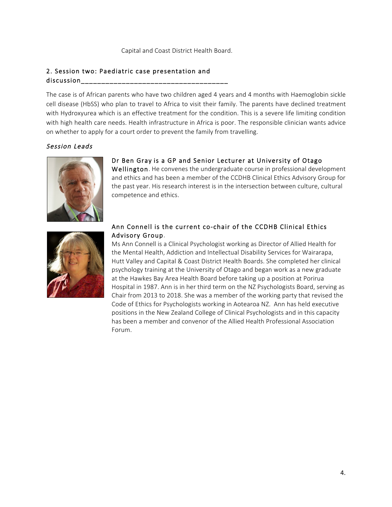### 2. Session two: Paediatric case presentation and discussion\_\_\_\_\_\_\_\_\_\_\_\_\_\_\_\_\_\_\_\_\_\_\_\_\_\_\_\_\_\_\_\_\_\_\_\_

The case is of African parents who have two children aged 4 years and 4 months with Haemoglobin sickle cell disease (HbSS) who plan to travel to Africa to visit their family. The parents have declined treatment with Hydroxyurea which is an effective treatment for the condition. This is a severe life limiting condition with high health care needs. Health infrastructure in Africa is poor. The responsible clinician wants advice on whether to apply for a court order to prevent the family from travelling.

## Session Leads



#### Dr Ben Gray is a GP and Senior Lecturer at University of Otago

Wellington. He convenes the undergraduate course in professional development and ethics and has been a member of the CCDHB Clinical Ethics Advisory Group for the past year. His research interest is in the intersection between culture, cultural competence and ethics.



#### Ann Connell is the current co-chair of the CCDHB Clinical Ethics Advisory Group.

Ms Ann Connell is a Clinical Psychologist working as Director of Allied Health for the Mental Health, Addiction and Intellectual Disability Services for Wairarapa, Hutt Valley and Capital & Coast District Health Boards. She completed her clinical psychology training at the University of Otago and began work as a new graduate at the Hawkes Bay Area Health Board before taking up a position at Porirua Hospital in 1987. Ann is in her third term on the NZ Psychologists Board, serving as Chair from 2013 to 2018. She was a member of the working party that revised the Code of Ethics for Psychologists working in Aotearoa NZ. Ann has held executive positions in the New Zealand College of Clinical Psychologists and in this capacity has been a member and convenor of the Allied Health Professional Association Forum.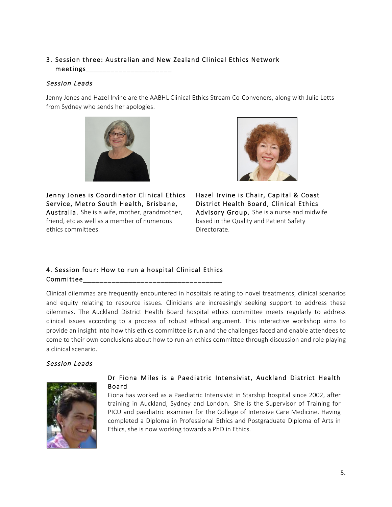# 3. Session three: Australian and New Zealand Clinical Ethics Network  $meetings$

#### Session Leads

Jenny Jones and Hazel Irvine are the AABHL Clinical Ethics Stream Co-Conveners; along with Julie Letts from Sydney who sends her apologies.



Jenny Jones is Coordinator Clinical Ethics Service, Metro South Health, Brisbane, Australia. She is a wife, mother, grandmother, friend, etc as well as a member of numerous ethics committees.



Hazel Irvine is Chair, Capital & Coast District Health Board, Clinical Ethics Advisory Group. She is a nurse and midwife based in the Quality and Patient Safety Directorate.

# 4. Session four: How to run a hospital Clinical Ethics Committee\_\_\_\_\_\_\_\_\_\_\_\_\_\_\_\_\_\_\_\_\_\_\_\_\_\_\_\_\_\_\_\_\_\_

Clinical dilemmas are frequently encountered in hospitals relating to novel treatments, clinical scenarios and equity relating to resource issues. Clinicians are increasingly seeking support to address these dilemmas. The Auckland District Health Board hospital ethics committee meets regularly to address clinical issues according to a process of robust ethical argument. This interactive workshop aims to provide an insight into how this ethics committee is run and the challenges faced and enable attendees to come to their own conclusions about how to run an ethics committee through discussion and role playing a clinical scenario.

# Session Leads



#### Dr Fiona Miles is a Paediatric Intensivist, Auckland District Health Board

Fiona has worked as a Paediatric Intensivist in Starship hospital since 2002, after training in Auckland, Sydney and London. She is the Supervisor of Training for PICU and paediatric examiner for the College of Intensive Care Medicine. Having completed a Diploma in Professional Ethics and Postgraduate Diploma of Arts in Ethics, she is now working towards a PhD in Ethics.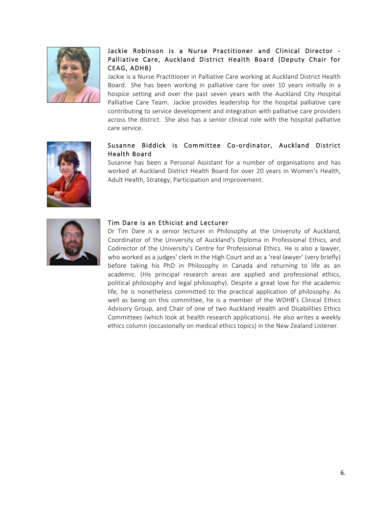

# Jackie Robinson is a Nurse Practitioner and Clinical Director - Palliative Care, Auckland District Health Board (Deputy Chair for CEAG, ADHB)

Jackie is a Nurse Practitioner in Palliative Care working at Auckland District Health Board. She has been working in palliative care for over 10 years initially in a hospice setting and over the past seven years with the Auckland City Hospital Palliative Care Team. Jackie provides leadership for the hospital palliative care contributing to service development and integration with palliative care providers across the district. She also has a senior clinical role with the hospital palliative care service.



## Susanne Biddick is Committee Co-ordinator, Auckland District Health Board

Susanne has been a Personal Assistant for a number of organisations and has worked at Auckland District Health Board for over 20 years in Women's Health, Adult Health, Strategy, Participation and Improvement.



#### Tim Dare is an Ethicist and Lecturer

Dr Tim Dare is a senior lecturer in Philosophy at the University of Auckland, Coordinator of the University of Auckland's Diploma in Professional Ethics, and Codirector of the University's Centre for Professional Ethics. He is also a lawyer, who worked as a judges' clerk in the High Court and as a 'real lawyer' (very briefly) before taking his PhD in Philosophy in Canada and returning to life as an academic. (His principal research areas are applied and professional ethics, political philosophy and legal philosophy). Despite a great love for the academic life, he is nonetheless committed to the practical application of philosophy. As well as being on this committee, he is a member of the WDHB's Clinical Ethics Advisory Group, and Chair of one of two Auckland Health and Disabilities Ethics Committees (which look at health research applications). He also writes a weekly ethics column (occasionally on medical ethics topics) in the New Zealand Listener.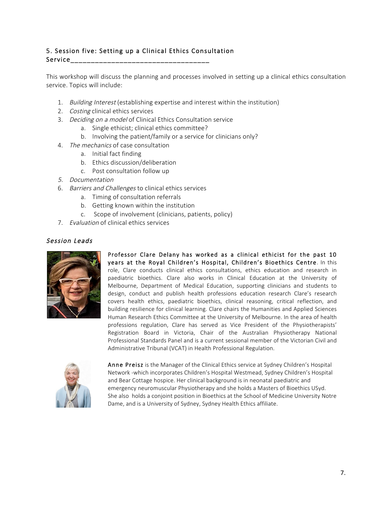## 5. Session five: Setting up a Clinical Ethics Consultation Service\_\_\_\_\_\_\_\_\_\_\_\_\_\_\_\_\_\_\_\_\_\_\_\_\_\_\_\_\_\_\_\_\_\_

This workshop will discuss the planning and processes involved in setting up a clinical ethics consultation service. Topics will include:

- 1. Building Interest (establishing expertise and interest within the institution)
- 2. Costing clinical ethics services
- 3. Deciding on a model of Clinical Ethics Consultation service
	- a. Single ethicist; clinical ethics committee?
	- b. Involving the patient/family or a service for clinicians only?
- 4. The mechanics of case consultation
	- a. Initial fact finding
	- b. Ethics discussion/deliberation
	- c. Post consultation follow up
- 5. Documentation
- 6. Barriers and Challenges to clinical ethics services
	- a. Timing of consultation referrals
	- b. Getting known within the institution
	- c. Scope of involvement (clinicians, patients, policy)
- 7. Evaluation of clinical ethics services



Session Leads

Professor Clare Delany has worked as a clinical ethicist for the past 10 years at the Royal Children's Hospital, Children's Bioethics Centre. In this role, Clare conducts clinical ethics consultations, ethics education and research in paediatric bioethics. Clare also works in Clinical Education at the University of Melbourne, Department of Medical Education, supporting clinicians and students to design, conduct and publish health professions education research Clare's research covers health ethics, paediatric bioethics, clinical reasoning, critical reflection, and building resilience for clinical learning. Clare chairs the Humanities and Applied Sciences Human Research Ethics Committee at the University of Melbourne. In the area of health professions regulation, Clare has served as Vice President of the Physiotherapists' Registration Board in Victoria, Chair of the Australian Physiotherapy National Professional Standards Panel and is a current sessional member of the Victorian Civil and Administrative Tribunal (VCAT) in Health Professional Regulation.



Anne Preisz is the Manager of the Clinical Ethics service at Sydney Children's Hospital Network -which incorporates Children's Hospital Westmead, Sydney Children's Hospital and Bear Cottage hospice. Her clinical background is in neonatal paediatric and emergency neuromuscular Physiotherapy and she holds a Masters of Bioethics USyd. She also holds a conjoint position in Bioethics at the School of Medicine University Notre Dame, and is a University of Sydney, Sydney Health Ethics affiliate.

7.